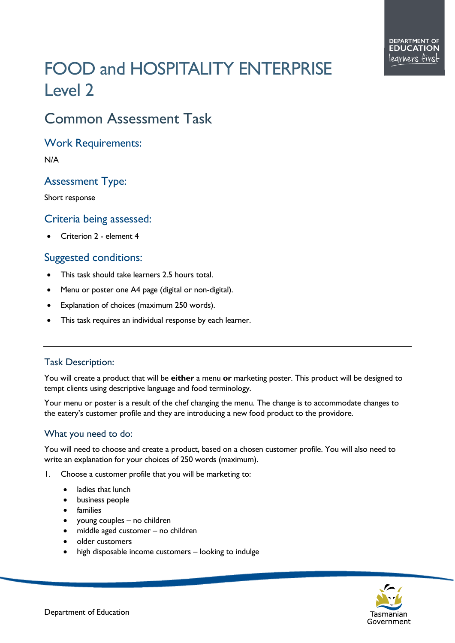# FOOD and HOSPITALITY ENTERPRISE Level 2

## Common Assessment Task

#### Work Requirements:

N/A

### Assessment Type:

Short response

#### Criteria being assessed:

• Criterion 2 - element 4

#### Suggested conditions:

- This task should take learners 2.5 hours total.
- Menu or poster one A4 page (digital or non-digital).
- Explanation of choices (maximum 250 words).
- This task requires an individual response by each learner.

#### Task Description:

You will create a product that will be **either** a menu **or** marketing poster. This product will be designed to tempt clients using descriptive language and food terminology.

Your menu or poster is a result of the chef changing the menu. The change is to accommodate changes to the eatery's customer profile and they are introducing a new food product to the providore.

#### What you need to do:

You will need to choose and create a product, based on a chosen customer profile. You will also need to write an explanation for your choices of 250 words (maximum).

- 1. Choose a customer profile that you will be marketing to:
	- ladies that lunch
	- business people
	- **families**
	- young couples no children
	- middle aged customer no children
	- older customers
	- high disposable income customers looking to indulge